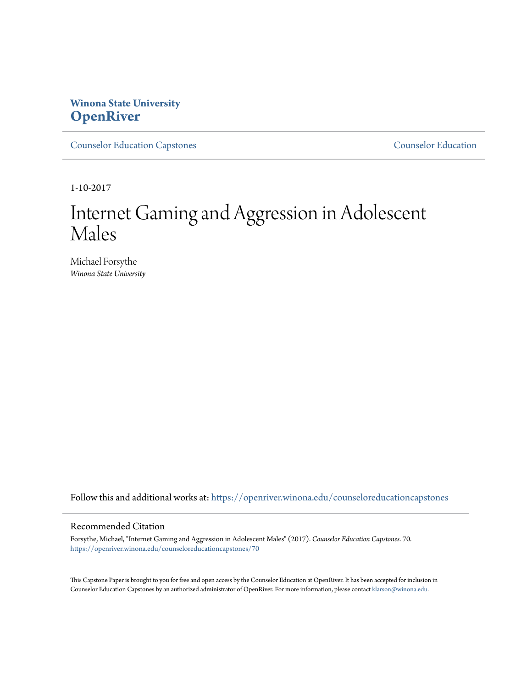# **Winona State University [OpenRiver](https://openriver.winona.edu?utm_source=openriver.winona.edu%2Fcounseloreducationcapstones%2F70&utm_medium=PDF&utm_campaign=PDFCoverPages)**

[Counselor Education Capstones](https://openriver.winona.edu/counseloreducationcapstones?utm_source=openriver.winona.edu%2Fcounseloreducationcapstones%2F70&utm_medium=PDF&utm_campaign=PDFCoverPages) [Counselor Education](https://openriver.winona.edu/counseloreducation?utm_source=openriver.winona.edu%2Fcounseloreducationcapstones%2F70&utm_medium=PDF&utm_campaign=PDFCoverPages)

1-10-2017

# Internet Gaming and Aggression in Adolescent Males

Michael Forsythe *Winona State University*

Follow this and additional works at: [https://openriver.winona.edu/counseloreducationcapstones](https://openriver.winona.edu/counseloreducationcapstones?utm_source=openriver.winona.edu%2Fcounseloreducationcapstones%2F70&utm_medium=PDF&utm_campaign=PDFCoverPages)

### Recommended Citation

Forsythe, Michael, "Internet Gaming and Aggression in Adolescent Males" (2017). *Counselor Education Capstones*. 70. [https://openriver.winona.edu/counseloreducationcapstones/70](https://openriver.winona.edu/counseloreducationcapstones/70?utm_source=openriver.winona.edu%2Fcounseloreducationcapstones%2F70&utm_medium=PDF&utm_campaign=PDFCoverPages)

This Capstone Paper is brought to you for free and open access by the Counselor Education at OpenRiver. It has been accepted for inclusion in Counselor Education Capstones by an authorized administrator of OpenRiver. For more information, please contact [klarson@winona.edu](mailto:klarson@winona.edu).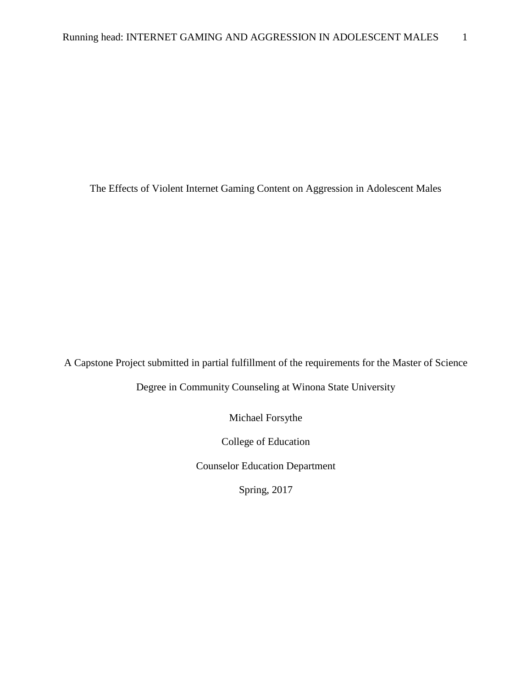The Effects of Violent Internet Gaming Content on Aggression in Adolescent Males

A Capstone Project submitted in partial fulfillment of the requirements for the Master of Science

Degree in Community Counseling at Winona State University

Michael Forsythe

College of Education

Counselor Education Department

Spring, 2017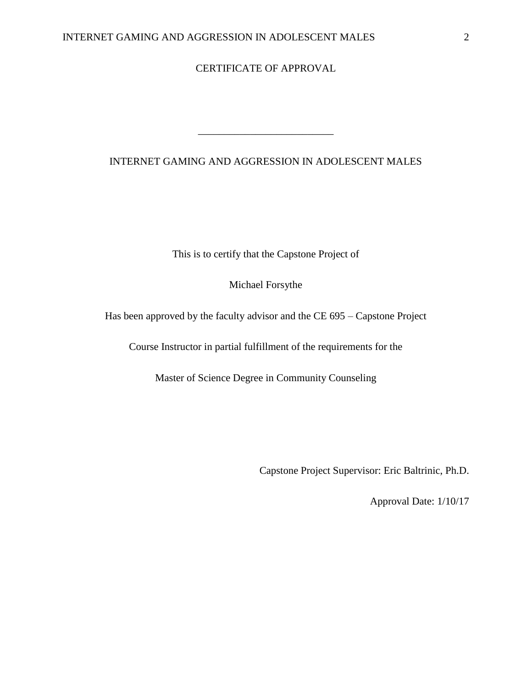# CERTIFICATE OF APPROVAL

## INTERNET GAMING AND AGGRESSION IN ADOLESCENT MALES

\_\_\_\_\_\_\_\_\_\_\_\_\_\_\_\_\_\_\_\_\_\_\_\_\_\_

This is to certify that the Capstone Project of

Michael Forsythe

Has been approved by the faculty advisor and the CE 695 – Capstone Project

Course Instructor in partial fulfillment of the requirements for the

Master of Science Degree in Community Counseling

Capstone Project Supervisor: Eric Baltrinic, Ph.D.

Approval Date: 1/10/17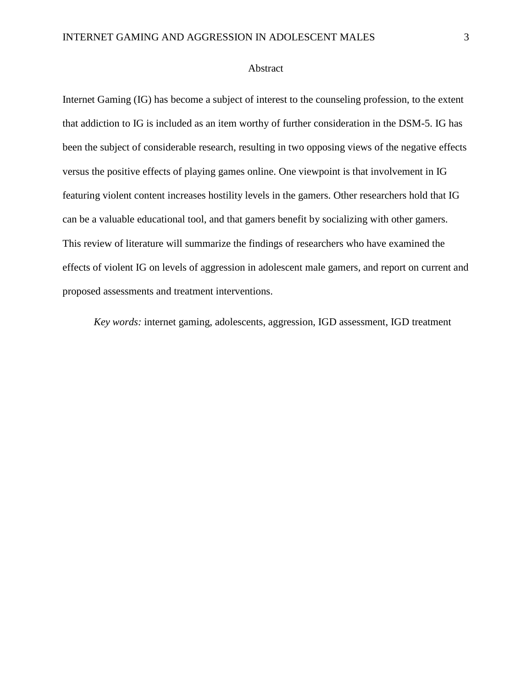#### Abstract

Internet Gaming (IG) has become a subject of interest to the counseling profession, to the extent that addiction to IG is included as an item worthy of further consideration in the DSM-5. IG has been the subject of considerable research, resulting in two opposing views of the negative effects versus the positive effects of playing games online. One viewpoint is that involvement in IG featuring violent content increases hostility levels in the gamers. Other researchers hold that IG can be a valuable educational tool, and that gamers benefit by socializing with other gamers. This review of literature will summarize the findings of researchers who have examined the effects of violent IG on levels of aggression in adolescent male gamers, and report on current and proposed assessments and treatment interventions.

*Key words:* internet gaming, adolescents, aggression, IGD assessment, IGD treatment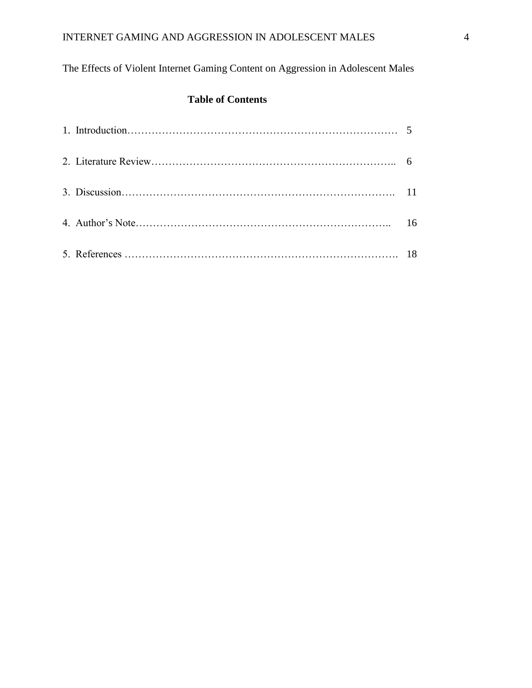The Effects of Violent Internet Gaming Content on Aggression in Adolescent Males

# **Table of Contents**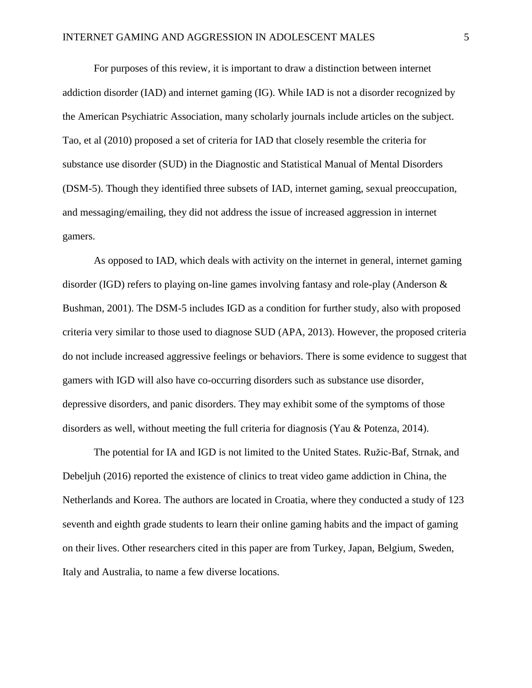For purposes of this review, it is important to draw a distinction between internet addiction disorder (IAD) and internet gaming (IG). While IAD is not a disorder recognized by the American Psychiatric Association, many scholarly journals include articles on the subject. Tao, et al (2010) proposed a set of criteria for IAD that closely resemble the criteria for substance use disorder (SUD) in the Diagnostic and Statistical Manual of Mental Disorders (DSM-5). Though they identified three subsets of IAD, internet gaming, sexual preoccupation, and messaging/emailing, they did not address the issue of increased aggression in internet gamers.

As opposed to IAD, which deals with activity on the internet in general, internet gaming disorder (IGD) refers to playing on-line games involving fantasy and role-play (Anderson & Bushman, 2001). The DSM-5 includes IGD as a condition for further study, also with proposed criteria very similar to those used to diagnose SUD (APA, 2013). However, the proposed criteria do not include increased aggressive feelings or behaviors. There is some evidence to suggest that gamers with IGD will also have co-occurring disorders such as substance use disorder, depressive disorders, and panic disorders. They may exhibit some of the symptoms of those disorders as well, without meeting the full criteria for diagnosis (Yau & Potenza, 2014).

The potential for IA and IGD is not limited to the United States. Ružic-Baf, Strnak, and Debeljuh (2016) reported the existence of clinics to treat video game addiction in China, the Netherlands and Korea. The authors are located in Croatia, where they conducted a study of 123 seventh and eighth grade students to learn their online gaming habits and the impact of gaming on their lives. Other researchers cited in this paper are from Turkey, Japan, Belgium, Sweden, Italy and Australia, to name a few diverse locations.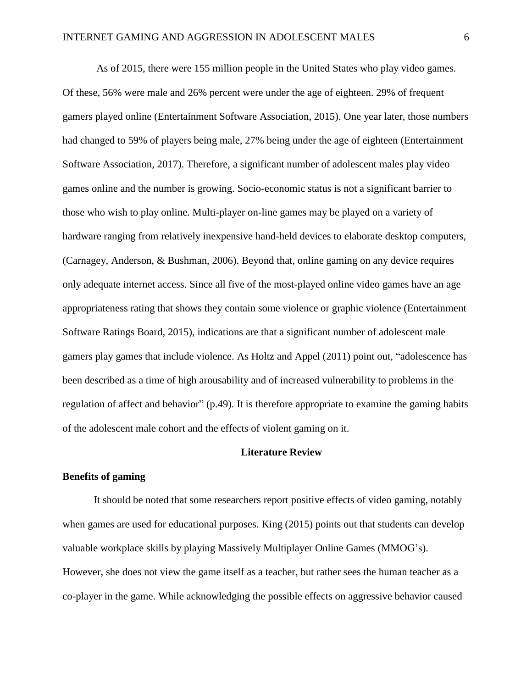As of 2015, there were 155 million people in the United States who play video games. Of these, 56% were male and 26% percent were under the age of eighteen. 29% of frequent gamers played online (Entertainment Software Association, 2015). One year later, those numbers had changed to 59% of players being male, 27% being under the age of eighteen (Entertainment Software Association, 2017). Therefore, a significant number of adolescent males play video games online and the number is growing. Socio-economic status is not a significant barrier to those who wish to play online. Multi-player on-line games may be played on a variety of hardware ranging from relatively inexpensive hand-held devices to elaborate desktop computers, (Carnagey, Anderson, & Bushman, 2006). Beyond that, online gaming on any device requires only adequate internet access. Since all five of the most-played online video games have an age appropriateness rating that shows they contain some violence or graphic violence (Entertainment Software Ratings Board, 2015), indications are that a significant number of adolescent male gamers play games that include violence. As Holtz and Appel (2011) point out, "adolescence has been described as a time of high arousability and of increased vulnerability to problems in the regulation of affect and behavior" (p.49). It is therefore appropriate to examine the gaming habits of the adolescent male cohort and the effects of violent gaming on it.

#### **Literature Review**

#### **Benefits of gaming**

It should be noted that some researchers report positive effects of video gaming, notably when games are used for educational purposes. King (2015) points out that students can develop valuable workplace skills by playing Massively Multiplayer Online Games (MMOG's). However, she does not view the game itself as a teacher, but rather sees the human teacher as a co-player in the game. While acknowledging the possible effects on aggressive behavior caused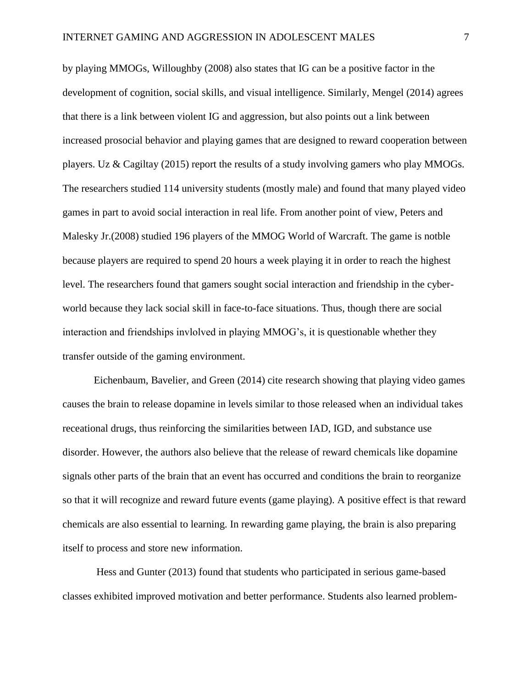by playing MMOGs, Willoughby (2008) also states that IG can be a positive factor in the development of cognition, social skills, and visual intelligence. Similarly, Mengel (2014) agrees that there is a link between violent IG and aggression, but also points out a link between increased prosocial behavior and playing games that are designed to reward cooperation between players. Uz & Cagiltay (2015) report the results of a study involving gamers who play MMOGs. The researchers studied 114 university students (mostly male) and found that many played video games in part to avoid social interaction in real life. From another point of view, Peters and Malesky Jr.(2008) studied 196 players of the MMOG World of Warcraft. The game is notble because players are required to spend 20 hours a week playing it in order to reach the highest level. The researchers found that gamers sought social interaction and friendship in the cyberworld because they lack social skill in face-to-face situations. Thus, though there are social interaction and friendships invlolved in playing MMOG's, it is questionable whether they transfer outside of the gaming environment.

Eichenbaum, Bavelier, and Green (2014) cite research showing that playing video games causes the brain to release dopamine in levels similar to those released when an individual takes receational drugs, thus reinforcing the similarities between IAD, IGD, and substance use disorder. However, the authors also believe that the release of reward chemicals like dopamine signals other parts of the brain that an event has occurred and conditions the brain to reorganize so that it will recognize and reward future events (game playing). A positive effect is that reward chemicals are also essential to learning. In rewarding game playing, the brain is also preparing itself to process and store new information.

Hess and Gunter (2013) found that students who participated in serious game-based classes exhibited improved motivation and better performance. Students also learned problem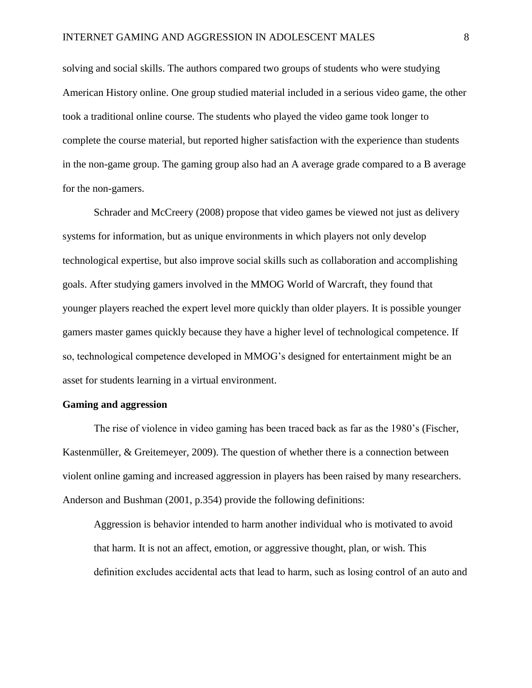solving and social skills. The authors compared two groups of students who were studying American History online. One group studied material included in a serious video game, the other took a traditional online course. The students who played the video game took longer to complete the course material, but reported higher satisfaction with the experience than students in the non-game group. The gaming group also had an A average grade compared to a B average for the non-gamers.

Schrader and McCreery (2008) propose that video games be viewed not just as delivery systems for information, but as unique environments in which players not only develop technological expertise, but also improve social skills such as collaboration and accomplishing goals. After studying gamers involved in the MMOG World of Warcraft, they found that younger players reached the expert level more quickly than older players. It is possible younger gamers master games quickly because they have a higher level of technological competence. If so, technological competence developed in MMOG's designed for entertainment might be an asset for students learning in a virtual environment.

#### **Gaming and aggression**

The rise of violence in video gaming has been traced back as far as the 1980's (Fischer, Kastenmüller, & Greitemeyer, 2009). The question of whether there is a connection between violent online gaming and increased aggression in players has been raised by many researchers. Anderson and Bushman (2001, p.354) provide the following definitions:

Aggression is behavior intended to harm another individual who is motivated to avoid that harm. It is not an affect, emotion, or aggressive thought, plan, or wish. This definition excludes accidental acts that lead to harm, such as losing control of an auto and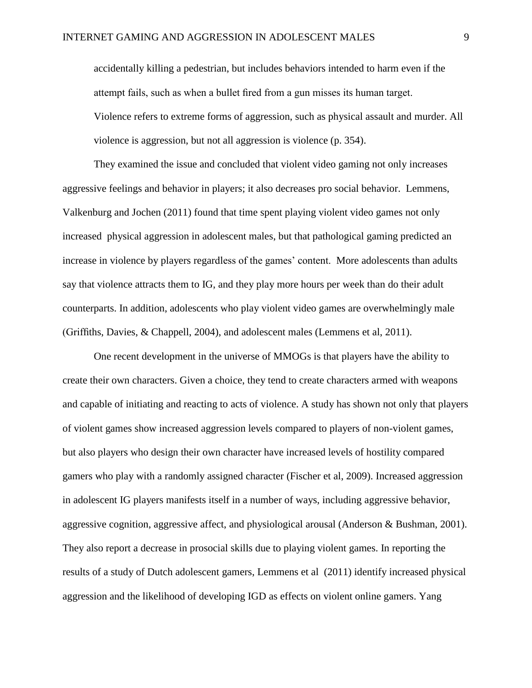accidentally killing a pedestrian, but includes behaviors intended to harm even if the attempt fails, such as when a bullet fired from a gun misses its human target. Violence refers to extreme forms of aggression, such as physical assault and murder. All violence is aggression, but not all aggression is violence (p. 354).

They examined the issue and concluded that violent video gaming not only increases aggressive feelings and behavior in players; it also decreases pro social behavior. Lemmens, Valkenburg and Jochen (2011) found that time spent playing violent video games not only increased physical aggression in adolescent males, but that pathological gaming predicted an increase in violence by players regardless of the games' content. More adolescents than adults say that violence attracts them to IG, and they play more hours per week than do their adult counterparts. In addition, adolescents who play violent video games are overwhelmingly male (Griffiths, Davies, & Chappell, 2004), and adolescent males (Lemmens et al, 2011).

One recent development in the universe of MMOGs is that players have the ability to create their own characters. Given a choice, they tend to create characters armed with weapons and capable of initiating and reacting to acts of violence. A study has shown not only that players of violent games show increased aggression levels compared to players of non-violent games, but also players who design their own character have increased levels of hostility compared gamers who play with a randomly assigned character (Fischer et al, 2009). Increased aggression in adolescent IG players manifests itself in a number of ways, including aggressive behavior, aggressive cognition, aggressive affect, and physiological arousal (Anderson & Bushman, 2001). They also report a decrease in prosocial skills due to playing violent games. In reporting the results of a study of Dutch adolescent gamers, Lemmens et al (2011) identify increased physical aggression and the likelihood of developing IGD as effects on violent online gamers. Yang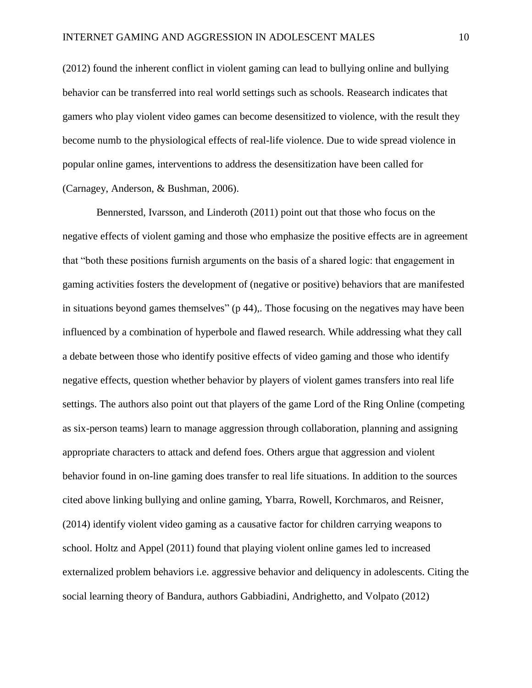(2012) found the inherent conflict in violent gaming can lead to bullying online and bullying behavior can be transferred into real world settings such as schools. Reasearch indicates that gamers who play violent video games can become desensitized to violence, with the result they become numb to the physiological effects of real-life violence. Due to wide spread violence in popular online games, interventions to address the desensitization have been called for (Carnagey, Anderson, & Bushman, 2006).

Bennersted, Ivarsson, and Linderoth (2011) point out that those who focus on the negative effects of violent gaming and those who emphasize the positive effects are in agreement that "both these positions furnish arguments on the basis of a shared logic: that engagement in gaming activities fosters the development of (negative or positive) behaviors that are manifested in situations beyond games themselves" (p 44),. Those focusing on the negatives may have been influenced by a combination of hyperbole and flawed research. While addressing what they call a debate between those who identify positive effects of video gaming and those who identify negative effects, question whether behavior by players of violent games transfers into real life settings. The authors also point out that players of the game Lord of the Ring Online (competing as six-person teams) learn to manage aggression through collaboration, planning and assigning appropriate characters to attack and defend foes. Others argue that aggression and violent behavior found in on-line gaming does transfer to real life situations. In addition to the sources cited above linking bullying and online gaming, Ybarra, Rowell, Korchmaros, and Reisner, (2014) identify violent video gaming as a causative factor for children carrying weapons to school. Holtz and Appel (2011) found that playing violent online games led to increased externalized problem behaviors i.e. aggressive behavior and deliquency in adolescents. Citing the social learning theory of Bandura, authors Gabbiadini, Andrighetto, and Volpato (2012)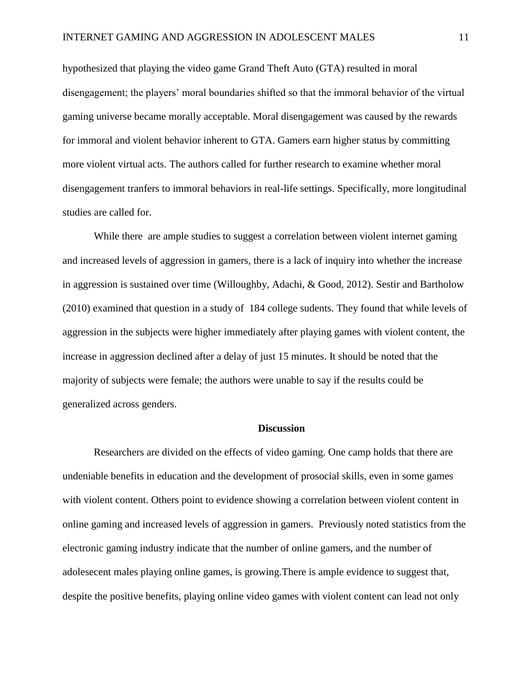hypothesized that playing the video game Grand Theft Auto (GTA) resulted in moral disengagement; the players' moral boundaries shifted so that the immoral behavior of the virtual gaming universe became morally acceptable. Moral disengagement was caused by the rewards for immoral and violent behavior inherent to GTA. Gamers earn higher status by committing more violent virtual acts. The authors called for further research to examine whether moral disengagement tranfers to immoral behaviors in real-life settings. Specifically, more longitudinal studies are called for.

While there are ample studies to suggest a correlation between violent internet gaming and increased levels of aggression in gamers, there is a lack of inquiry into whether the increase in aggression is sustained over time (Willoughby, Adachi, & Good, 2012). Sestir and Bartholow (2010) examined that question in a study of 184 college sudents. They found that while levels of aggression in the subjects were higher immediately after playing games with violent content, the increase in aggression declined after a delay of just 15 minutes. It should be noted that the majority of subjects were female; the authors were unable to say if the results could be generalized across genders.

#### **Discussion**

Researchers are divided on the effects of video gaming. One camp holds that there are undeniable benefits in education and the development of prosocial skills, even in some games with violent content. Others point to evidence showing a correlation between violent content in online gaming and increased levels of aggression in gamers. Previously noted statistics from the electronic gaming industry indicate that the number of online gamers, and the number of adolesecent males playing online games, is growing.There is ample evidence to suggest that, despite the positive benefits, playing online video games with violent content can lead not only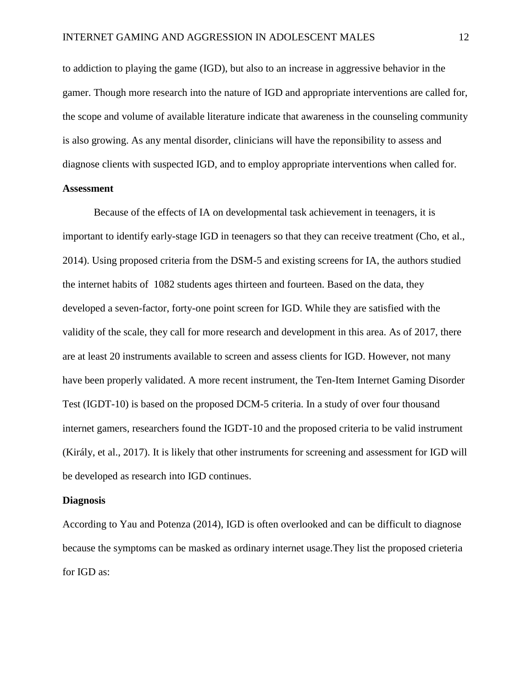to addiction to playing the game (IGD), but also to an increase in aggressive behavior in the gamer. Though more research into the nature of IGD and appropriate interventions are called for, the scope and volume of available literature indicate that awareness in the counseling community is also growing. As any mental disorder, clinicians will have the reponsibility to assess and diagnose clients with suspected IGD, and to employ appropriate interventions when called for.

## **Assessment**

Because of the effects of IA on developmental task achievement in teenagers, it is important to identify early-stage IGD in teenagers so that they can receive treatment (Cho, et al., 2014). Using proposed criteria from the DSM-5 and existing screens for IA, the authors studied the internet habits of 1082 students ages thirteen and fourteen. Based on the data, they developed a seven-factor, forty-one point screen for IGD. While they are satisfied with the validity of the scale, they call for more research and development in this area. As of 2017, there are at least 20 instruments available to screen and assess clients for IGD. However, not many have been properly validated. A more recent instrument, the Ten-Item Internet Gaming Disorder Test (IGDT-10) is based on the proposed DCM-5 criteria. In a study of over four thousand internet gamers, researchers found the IGDT-10 and the proposed criteria to be valid instrument (Király, et al., 2017). It is likely that other instruments for screening and assessment for IGD will be developed as research into IGD continues.

#### **Diagnosis**

According to Yau and Potenza (2014), IGD is often overlooked and can be difficult to diagnose because the symptoms can be masked as ordinary internet usage.They list the proposed crieteria for IGD as: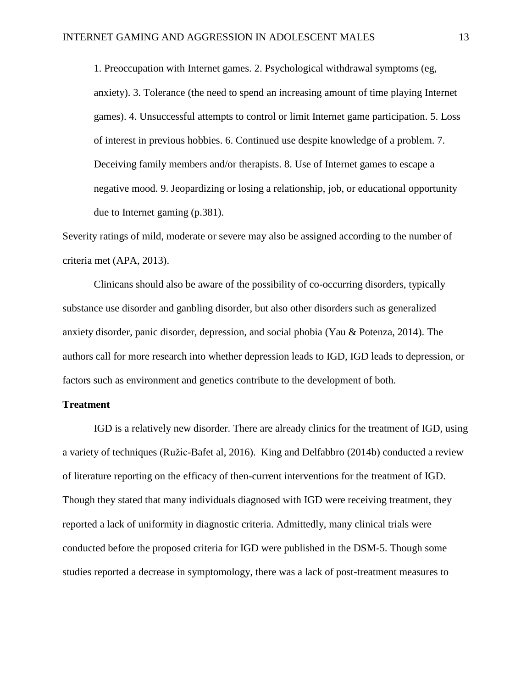1. Preoccupation with Internet games. 2. Psychological withdrawal symptoms (eg, anxiety). 3. Tolerance (the need to spend an increasing amount of time playing Internet games). 4. Unsuccessful attempts to control or limit Internet game participation. 5. Loss of interest in previous hobbies. 6. Continued use despite knowledge of a problem. 7. Deceiving family members and/or therapists. 8. Use of Internet games to escape a negative mood. 9. Jeopardizing or losing a relationship, job, or educational opportunity due to Internet gaming (p.381).

Severity ratings of mild, moderate or severe may also be assigned according to the number of criteria met (APA, 2013).

Clinicans should also be aware of the possibility of co-occurring disorders, typically substance use disorder and ganbling disorder, but also other disorders such as generalized anxiety disorder, panic disorder, depression, and social phobia (Yau & Potenza, 2014). The authors call for more research into whether depression leads to IGD, IGD leads to depression, or factors such as environment and genetics contribute to the development of both.

#### **Treatment**

IGD is a relatively new disorder. There are already clinics for the treatment of IGD, using a variety of techniques (Ružic-Bafet al, 2016). King and Delfabbro (2014b) conducted a review of literature reporting on the efficacy of then-current interventions for the treatment of IGD. Though they stated that many individuals diagnosed with IGD were receiving treatment, they reported a lack of uniformity in diagnostic criteria. Admittedly, many clinical trials were conducted before the proposed criteria for IGD were published in the DSM-5. Though some studies reported a decrease in symptomology, there was a lack of post-treatment measures to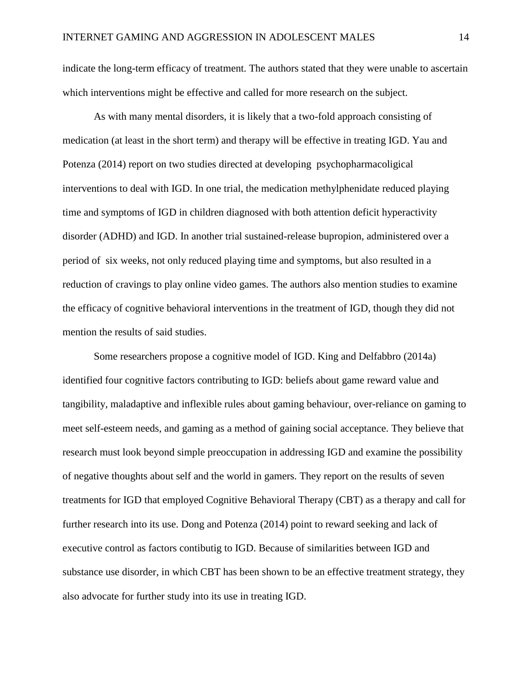indicate the long-term efficacy of treatment. The authors stated that they were unable to ascertain which interventions might be effective and called for more research on the subject.

As with many mental disorders, it is likely that a two-fold approach consisting of medication (at least in the short term) and therapy will be effective in treating IGD. Yau and Potenza (2014) report on two studies directed at developing psychopharmacoligical interventions to deal with IGD. In one trial, the medication methylphenidate reduced playing time and symptoms of IGD in children diagnosed with both attention deficit hyperactivity disorder (ADHD) and IGD. In another trial sustained-release bupropion, administered over a period of six weeks, not only reduced playing time and symptoms, but also resulted in a reduction of cravings to play online video games. The authors also mention studies to examine the efficacy of cognitive behavioral interventions in the treatment of IGD, though they did not mention the results of said studies.

Some researchers propose a cognitive model of IGD. King and Delfabbro (2014a) identified four cognitive factors contributing to IGD: beliefs about game reward value and tangibility, maladaptive and inflexible rules about gaming behaviour, over-reliance on gaming to meet self-esteem needs, and gaming as a method of gaining social acceptance. They believe that research must look beyond simple preoccupation in addressing IGD and examine the possibility of negative thoughts about self and the world in gamers. They report on the results of seven treatments for IGD that employed Cognitive Behavioral Therapy (CBT) as a therapy and call for further research into its use. Dong and Potenza (2014) point to reward seeking and lack of executive control as factors contibutig to IGD. Because of similarities between IGD and substance use disorder, in which CBT has been shown to be an effective treatment strategy, they also advocate for further study into its use in treating IGD.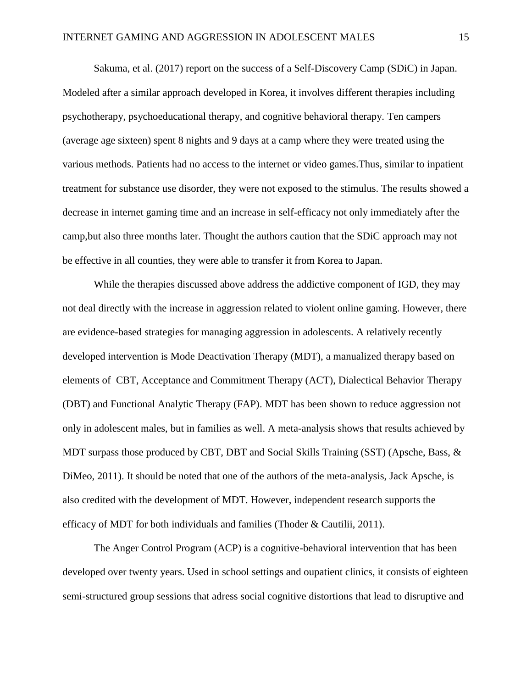Sakuma, et al. (2017) report on the success of a Self-Discovery Camp (SDiC) in Japan. Modeled after a similar approach developed in Korea, it involves different therapies including psychotherapy, psychoeducational therapy, and cognitive behavioral therapy. Ten campers (average age sixteen) spent 8 nights and 9 days at a camp where they were treated using the various methods. Patients had no access to the internet or video games.Thus, similar to inpatient treatment for substance use disorder, they were not exposed to the stimulus. The results showed a decrease in internet gaming time and an increase in self-efficacy not only immediately after the camp,but also three months later. Thought the authors caution that the SDiC approach may not be effective in all counties, they were able to transfer it from Korea to Japan.

While the therapies discussed above address the addictive component of IGD, they may not deal directly with the increase in aggression related to violent online gaming. However, there are evidence-based strategies for managing aggression in adolescents. A relatively recently developed intervention is Mode Deactivation Therapy (MDT), a manualized therapy based on elements of CBT, Acceptance and Commitment Therapy (ACT), Dialectical Behavior Therapy (DBT) and Functional Analytic Therapy (FAP). MDT has been shown to reduce aggression not only in adolescent males, but in families as well. A meta-analysis shows that results achieved by MDT surpass those produced by CBT, DBT and Social Skills Training (SST) (Apsche, Bass, & DiMeo, 2011). It should be noted that one of the authors of the meta-analysis, Jack Apsche, is also credited with the development of MDT. However, independent research supports the efficacy of MDT for both individuals and families (Thoder & Cautilii, 2011).

The Anger Control Program (ACP) is a cognitive-behavioral intervention that has been developed over twenty years. Used in school settings and oupatient clinics, it consists of eighteen semi-structured group sessions that adress social cognitive distortions that lead to disruptive and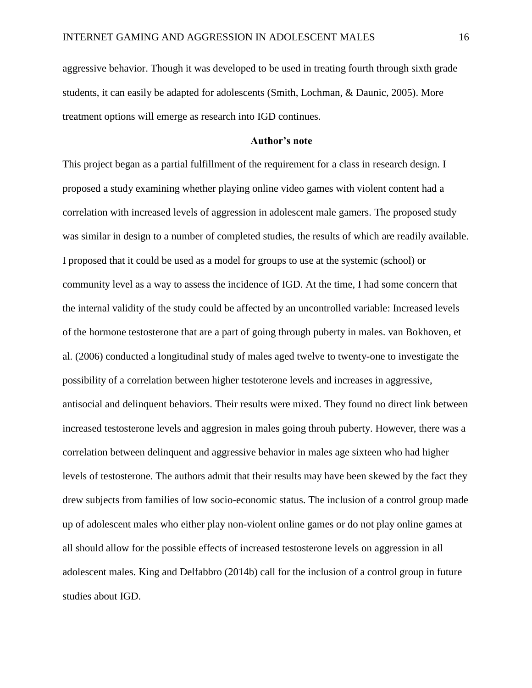aggressive behavior. Though it was developed to be used in treating fourth through sixth grade students, it can easily be adapted for adolescents (Smith, Lochman, & Daunic, 2005). More treatment options will emerge as research into IGD continues.

#### **Author's note**

This project began as a partial fulfillment of the requirement for a class in research design. I proposed a study examining whether playing online video games with violent content had a correlation with increased levels of aggression in adolescent male gamers. The proposed study was similar in design to a number of completed studies, the results of which are readily available. I proposed that it could be used as a model for groups to use at the systemic (school) or community level as a way to assess the incidence of IGD. At the time, I had some concern that the internal validity of the study could be affected by an uncontrolled variable: Increased levels of the hormone testosterone that are a part of going through puberty in males. van Bokhoven, et al. (2006) conducted a longitudinal study of males aged twelve to twenty-one to investigate the possibility of a correlation between higher testoterone levels and increases in aggressive, antisocial and delinquent behaviors. Their results were mixed. They found no direct link between increased testosterone levels and aggresion in males going throuh puberty. However, there was a correlation between delinquent and aggressive behavior in males age sixteen who had higher levels of testosterone. The authors admit that their results may have been skewed by the fact they drew subjects from families of low socio-economic status. The inclusion of a control group made up of adolescent males who either play non-violent online games or do not play online games at all should allow for the possible effects of increased testosterone levels on aggression in all adolescent males. King and Delfabbro (2014b) call for the inclusion of a control group in future studies about IGD.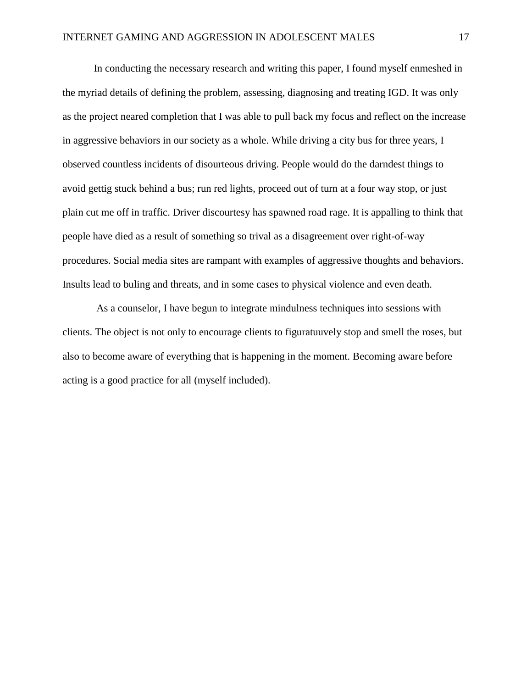In conducting the necessary research and writing this paper, I found myself enmeshed in the myriad details of defining the problem, assessing, diagnosing and treating IGD. It was only as the project neared completion that I was able to pull back my focus and reflect on the increase in aggressive behaviors in our society as a whole. While driving a city bus for three years, I observed countless incidents of disourteous driving. People would do the darndest things to avoid gettig stuck behind a bus; run red lights, proceed out of turn at a four way stop, or just plain cut me off in traffic. Driver discourtesy has spawned road rage. It is appalling to think that people have died as a result of something so trival as a disagreement over right-of-way procedures. Social media sites are rampant with examples of aggressive thoughts and behaviors. Insults lead to buling and threats, and in some cases to physical violence and even death.

As a counselor, I have begun to integrate mindulness techniques into sessions with clients. The object is not only to encourage clients to figuratuuvely stop and smell the roses, but also to become aware of everything that is happening in the moment. Becoming aware before acting is a good practice for all (myself included).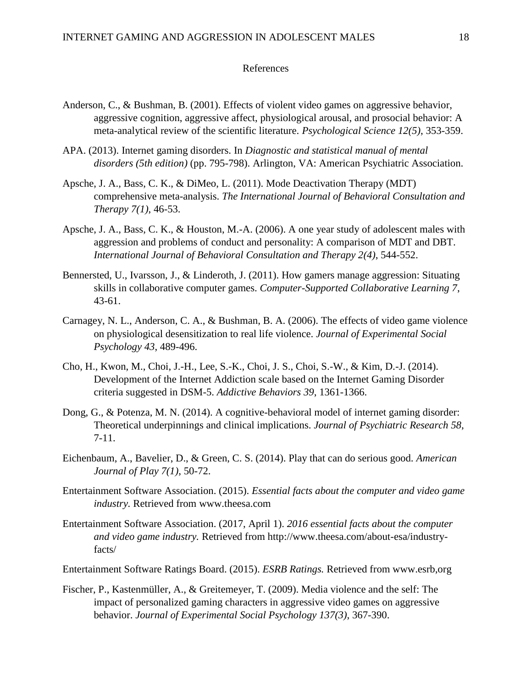#### References

- Anderson, C., & Bushman, B. (2001). Effects of violent video games on aggressive behavior, aggressive cognition, aggressive affect, physiological arousal, and prosocial behavior: A meta-analytical review of the scientific literature. *Psychological Science 12(5)*, 353-359.
- APA. (2013). Internet gaming disorders. In *Diagnostic and statistical manual of mental disorders (5th edition)* (pp. 795-798). Arlington, VA: American Psychiatric Association.
- Apsche, J. A., Bass, C. K., & DiMeo, L. (2011). Mode Deactivation Therapy (MDT) comprehensive meta-analysis. *The International Journal of Behavioral Consultation and Therapy 7(1)*, 46-53.
- Apsche, J. A., Bass, C. K., & Houston, M.-A. (2006). A one year study of adolescent males with aggression and problems of conduct and personality: A comparison of MDT and DBT. *International Journal of Behavioral Consultation and Therapy 2(4)*, 544-552.
- Bennersted, U., Ivarsson, J., & Linderoth, J. (2011). How gamers manage aggression: Situating skills in collaborative computer games. *Computer-Supported Collaborative Learning 7*, 43-61.
- Carnagey, N. L., Anderson, C. A., & Bushman, B. A. (2006). The effects of video game violence on physiological desensitization to real life violence. *Journal of Experimental Social Psychology 43*, 489-496.
- Cho, H., Kwon, M., Choi, J.-H., Lee, S.-K., Choi, J. S., Choi, S.-W., & Kim, D.-J. (2014). Development of the Internet Addiction scale based on the Internet Gaming Disorder criteria suggested in DSM-5. *Addictive Behaviors 39*, 1361-1366.
- Dong, G., & Potenza, M. N. (2014). A cognitive-behavioral model of internet gaming disorder: Theoretical underpinnings and clinical implications. *Journal of Psychiatric Research 58*, 7-11.
- Eichenbaum, A., Bavelier, D., & Green, C. S. (2014). Play that can do serious good. *American Journal of Play 7(1)*, 50-72.
- Entertainment Software Association. (2015). *Essential facts about the computer and video game industry.* Retrieved from www.theesa.com
- Entertainment Software Association. (2017, April 1). *2016 essential facts about the computer and video game industry.* Retrieved from http://www.theesa.com/about-esa/industryfacts/
- Entertainment Software Ratings Board. (2015). *ESRB Ratings.* Retrieved from www.esrb,org
- Fischer, P., Kastenmüller, A., & Greitemeyer, T. (2009). Media violence and the self: The impact of personalized gaming characters in aggressive video games on aggressive behavior. *Journal of Experimental Social Psychology 137(3)*, 367-390.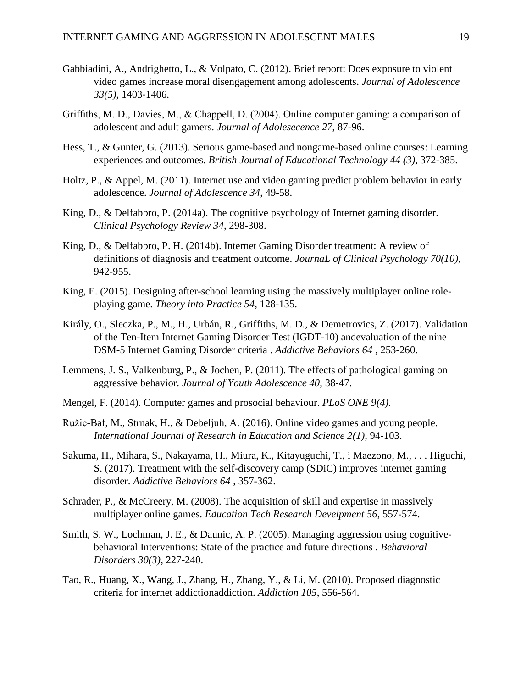- Gabbiadini, A., Andrighetto, L., & Volpato, C. (2012). Brief report: Does exposure to violent video games increase moral disengagement among adolescents. *Journal of Adolescence 33(5)*, 1403-1406.
- Griffiths, M. D., Davies, M., & Chappell, D. (2004). Online computer gaming: a comparison of adolescent and adult gamers. *Journal of Adolesecence 27*, 87-96.
- Hess, T., & Gunter, G. (2013). Serious game-based and nongame-based online courses: Learning experiences and outcomes. *British Journal of Educational Technology 44 (3)*, 372-385.
- Holtz, P., & Appel, M. (2011). Internet use and video gaming predict problem behavior in early adolescence. *Journal of Adolescence 34*, 49-58.
- King, D., & Delfabbro, P. (2014a). The cognitive psychology of Internet gaming disorder. *Clinical Psychology Review 34*, 298-308.
- King, D., & Delfabbro, P. H. (2014b). Internet Gaming Disorder treatment: A review of definitions of diagnosis and treatment outcome. *JournaL of Clinical Psychology 70(10)*, 942-955.
- King, E. (2015). Designing after-school learning using the massively multiplayer online roleplaying game. *Theory into Practice 54*, 128-135.
- Király, O., Sleczka, P., M., H., Urbán, R., Griffiths, M. D., & Demetrovics, Z. (2017). Validation of the Ten-Item Internet Gaming Disorder Test (IGDT-10) andevaluation of the nine DSM-5 Internet Gaming Disorder criteria . *Addictive Behaviors 64* , 253-260.
- Lemmens, J. S., Valkenburg, P., & Jochen, P. (2011). The effects of pathological gaming on aggressive behavior. *Journal of Youth Adolescence 40*, 38-47.
- Mengel, F. (2014). Computer games and prosocial behaviour. *PLoS ONE 9(4)*.
- Ružic-Baf, M., Strnak, H., & Debeljuh, A. (2016). Online video games and young people. *International Journal of Research in Education and Science 2(1)*, 94-103.
- Sakuma, H., Mihara, S., Nakayama, H., Miura, K., Kitayuguchi, T., i Maezono, M., . . . Higuchi, S. (2017). Treatment with the self-discovery camp (SDiC) improves internet gaming disorder. *Addictive Behaviors 64* , 357-362.
- Schrader, P., & McCreery, M. (2008). The acquisition of skill and expertise in massively multiplayer online games. *Education Tech Research Develpment 56*, 557-574.
- Smith, S. W., Lochman, J. E., & Daunic, A. P. (2005). Managing aggression using cognitivebehavioral Interventions: State of the practice and future directions . *Behavioral Disorders 30(3)*, 227-240.
- Tao, R., Huang, X., Wang, J., Zhang, H., Zhang, Y., & Li, M. (2010). Proposed diagnostic criteria for internet addictionaddiction. *Addiction 105*, 556-564.